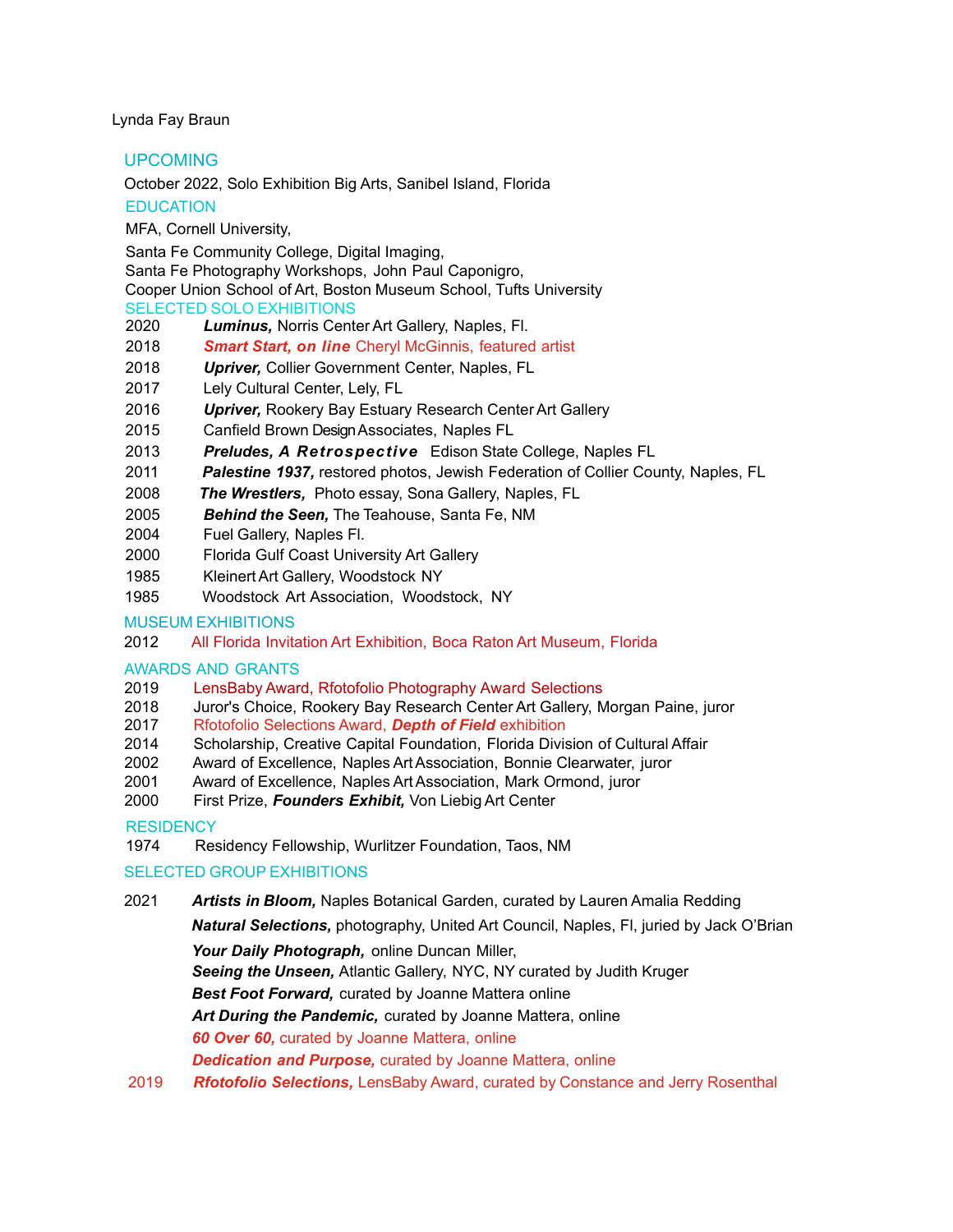Lynda Fay Braun

UPCOMING

October 2022, Solo Exhibition Big Arts, Sanibel Island, Florida

**EDUCATION** 

MFA, Cornell University,

Santa Fe Community College, Digital Imaging,

Santa Fe Photography Workshops, John Paul Caponigro,

Cooper Union School of Art, Boston Museum School, Tufts University

- SELECTED SOLO EXHIBITIONS
- 2020 *Luminus,* Norris Center Art Gallery, Naples, Fl.
- 2018 *Smart Start, on line* Cheryl McGinnis, featured artist
- 2018 *Upriver,* Collier Government Center, Naples, FL
- 2017 Lely Cultural Center, Lely, FL
- 2016 *Upriver,* Rookery Bay Estuary Research Center Art Gallery
- 2015 Canfield Brown Design Associates, Naples FL
- 2013 *Preludes, A Retrospective* Edison State College, Naples FL
- 2011 *Palestine 1937,* restored photos, Jewish Federation of Collier County, Naples, FL
- 2008 *The Wrestlers,* Photo essay, Sona Gallery, Naples, FL
- 2005 *Behind the Seen,* The Teahouse, Santa Fe, NM
- 2004 Fuel Gallery, Naples Fl.
- 2000 Florida Gulf Coast University Art Gallery
- 1985 KleinertArt Gallery, Woodstock NY
- 1985 Woodstock Art Association, Woodstock, NY

MUSEUM EXHIBITIONS

2012 All Florida Invitation Art Exhibition, Boca Raton Art Museum, Florida

# AWARDS AND GRANTS

- 2019 LensBaby Award, Rfotofolio Photography Award Selections
- 2018 Juror's Choice, Rookery Bay Research Center Art Gallery, Morgan Paine, juror
- 2017 Rfotofolio Selections Award, *Depth of Field* exhibition
- 2014 Scholarship, Creative Capital Foundation, Florida Division of Cultural Affair
- 2002 Award of Excellence, Naples ArtAssociation, Bonnie Clearwater, juror
- 2001 Award of Excellence, Naples ArtAssociation, Mark Ormond, juror
- 2000 First Prize, *Founders Exhibit,* Von Liebig Art Center

# **RESIDENCY**

1974 Residency Fellowship, Wurlitzer Foundation, Taos, NM

# SELECTED GROUP EXHIBITIONS

2021 *Artists in Bloom,* Naples Botanical Garden, curated by Lauren Amalia Redding

*Natural Selections,* photography, United Art Council, Naples, Fl, juried by Jack O'Brian

*Your Daily Photograph,* online Duncan Miller,

*Seeing the Unseen,* Atlantic Gallery, NYC, NY curated by Judith Kruger

*Best Foot Forward,* curated by Joanne Mattera online

*Art During the Pandemic,* curated by Joanne Mattera, online

*60 Over 60,* curated by Joanne Mattera, online

*Dedication and Purpose,* curated by Joanne Mattera, online

2019 *Rfotofolio Selections,* LensBaby Award, curated by Constance and Jerry Rosenthal